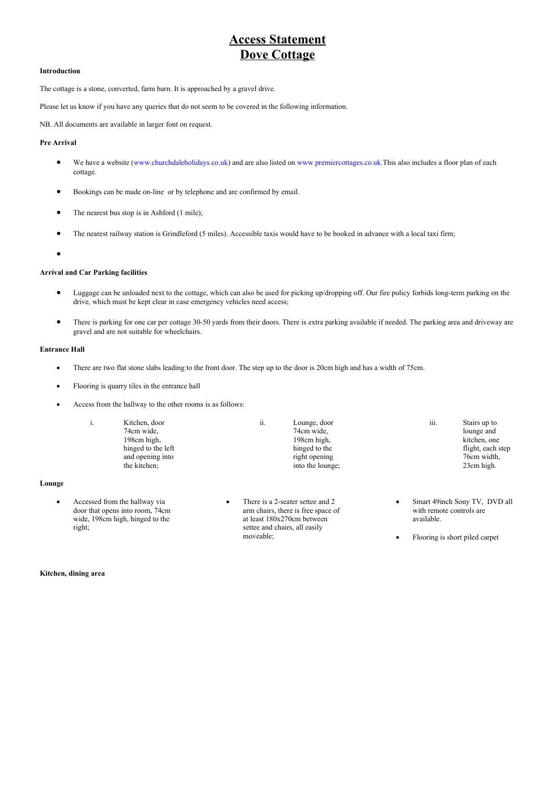# **Access Statement Dove Cottage**

## **Introduction**

The cottage is a stone, converted, farm barn. It is approached by a gravel drive.

Please let us know if you have any queries that do not seem to be covered in the following information.

NB. All documents are available in larger font on request.

### **Pre Arrival**

- We have a website (www.churchdaleholidays.co.uk) and are also listed on [www.premiercottages.co.uk.T](http://www.premiercottages.co.uk.and/)his also includes a floor plan of each cottage.
- Bookings can be made on-line or by telephone and are confirmed by email.
- The nearest bus stop is in Ashford (1 mile);
- The nearest railway station is Grindleford (5 miles). Accessible taxis would have to be booked in advance with a local taxi firm;
- $\bullet$

#### **Arrival and Car Parking facilities**

- Luggage can be unloaded next to the cottage, which can also be used for picking up/dropping off. Our fire policy forbids long-term parking on the drive, which must be kept clear in case emergency vehicles need access;
- There is parking for one car per cottage 30-50 yards from their doors. There is extra parking available if needed. The parking area and driveway are gravel and are not suitable for wheelchairs.

# **Entrance Hall**

**Lounge**

- There are two flat stone slabs leading to the front door. The step up to the door is 20cm high and has a width of 75cm.
- Flooring is quarry tiles in the entrance hall
- Access from the hallway to the other rooms is as follows:

|    | .,                            | Kitchen, door      | ii. | Lounge, door                     | iii. | Stairs up to                  |
|----|-------------------------------|--------------------|-----|----------------------------------|------|-------------------------------|
|    |                               | 74cm wide,         |     | 74cm wide,                       |      | lounge and                    |
|    |                               | 198cm high,        |     | 198cm high,                      |      | kitchen, one                  |
|    |                               | hinged to the left |     | hinged to the                    |      | flight, each step             |
|    |                               | and opening into   |     | right opening                    |      | 76cm width,                   |
|    |                               | the kitchen;       |     | into the lounge;                 |      | 23cm high.                    |
| ge |                               |                    |     |                                  |      |                               |
|    | Accessed from the hallway via |                    |     | There is a 2-seater settee and 2 |      | Smart 49inch Sony TV, DVD all |

- door that opens into room, 74cm wide, 198cm high, hinged to the right;
- arm chairs, there is free space of at least 180x270cm between settee and chairs, all easily moveable;
- with remote controls are
- Flooring is short piled carpet

available.

**Kitchen, dining area**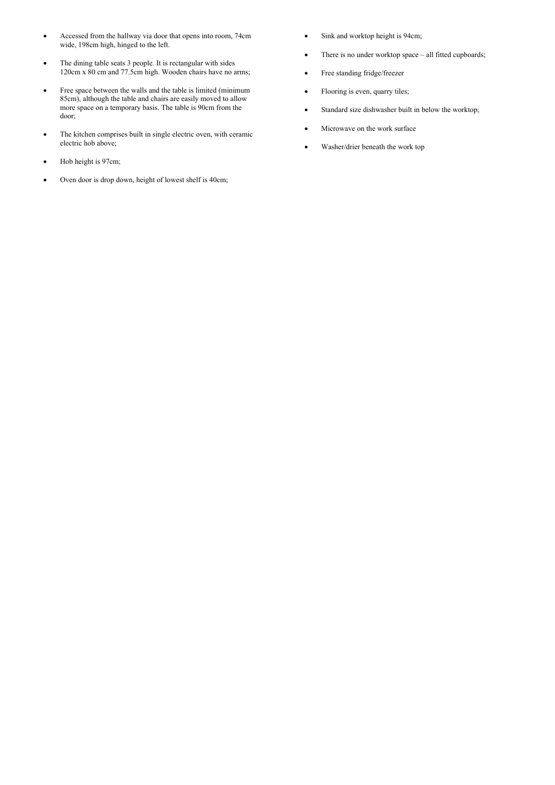- Accessed from the hallway via door that opens into room, 74cm wide, 198cm high, hinged to the left.
- The dining table seats 3 people. It is rectangular with sides 120cm x 80 cm and 77.5cm high. Wooden chairs have no arms;
- Free space between the walls and the table is limited (minimum 85cm), although the table and chairs are easily moved to allow more space on a temporary basis. The table is 90cm from the door;
- The kitchen comprises built in single electric oven, with ceramic electric hob above;
- Hob height is 97cm;
- Oven door is drop down, height of lowest shelf is 40cm;
- Sink and worktop height is 94cm;
- There is no under worktop space all fitted cupboards;
- Free standing fridge/freezer
- Flooring is even, quarry tiles;
- Standard size dishwasher built in below the worktop;
- Microwave on the work surface
- Washer/drier beneath the work top